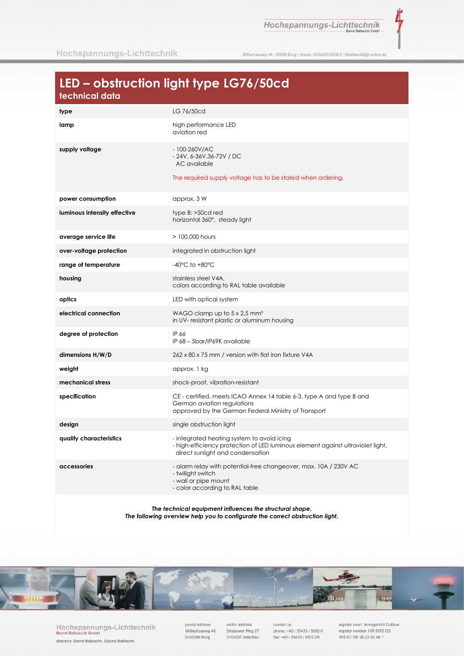Hochspannungs-Lichttechnik

ť

Willischzaweg 48 · 03096 Burg · phone. (035433) 5502-0 · bballaschk@t-online.de

# LED - obstruction light type LG76/50cd

| <u>iecililicui uulu</u>      |                                                                                                                                                                   |
|------------------------------|-------------------------------------------------------------------------------------------------------------------------------------------------------------------|
| type                         | LG 76/50cd                                                                                                                                                        |
| lamp                         | high performance LED<br>aviation red                                                                                                                              |
| supply voltage               | $-100 - 260$ V/AC<br>$-24V$ , 6-36V, 36-72V / DC<br>AC available<br>The required supply voltage has to be stated when ordering.                                   |
| power consumption            | approx. 3 W                                                                                                                                                       |
| luminous intensity effective | $type B: >50cd$ red<br>horizontal 360°, steady light                                                                                                              |
| average service life         | $>100.000$ hours                                                                                                                                                  |
| over-voltage protection      | integrated in obstruction light                                                                                                                                   |
| range of temperature         | $-40^{\circ}$ C to $+80^{\circ}$ C                                                                                                                                |
| housing                      | stainless steel V4A,<br>colors according to RAL table available                                                                                                   |
| optics                       | LED with optical system                                                                                                                                           |
| electrical connection        | WAGO clamp up to $5 \times 2.5$ mm <sup>2</sup><br>in UV-resistant plastic or aluminum housing                                                                    |
| degree of protection         | IP 66<br>IP 68 - 5bar/IP69K available                                                                                                                             |
| dimensions H/W/D             | 262 x 80 x 75 mm / version with flat iron fixture V4A                                                                                                             |
| weight                       | approx. 1 kg                                                                                                                                                      |
| mechanical stress            | shock-proof, vibration-resistant                                                                                                                                  |
| specification                | CE - certified, meets ICAO Annex 14 table 6-3. type A and type B and<br>German aviation regulations<br>approved by the German Federal Ministry of Transport       |
| design                       | single obstruction light                                                                                                                                          |
| quality characteristics      | - integrated heating system to avoid icing<br>- high-efficiency protection of LED luminous element against ultraviolet light,<br>direct sunlight and condensation |
| accessories                  | - alarm relay with potential-free changeover, max. 10A / 230V AC<br>- twilight switch<br>- wall or pipe mount<br>- color according to RAL table                   |
|                              |                                                                                                                                                                   |

The technical equipment influences the structural shape. The following overview help you to configurate the correct obstruction light.



Hochspannungs-Lichttechnik<br>Bernd Ballaschk GmbH directors: Bernd Ballaschk, Sabine Ballaschk

postal address Willischzaweg 48 D-03096 Burg

visitor address Stradower Weg 27 D-03226 Vetschau

contact us phone: +49 / 35433 / 5502-0 fax: +49 / 35433 / 5502-29

register court: Amtsgericht Cottbus<br>register number: HR 8152 CB VAT-ID: DE 26 22 82 46 1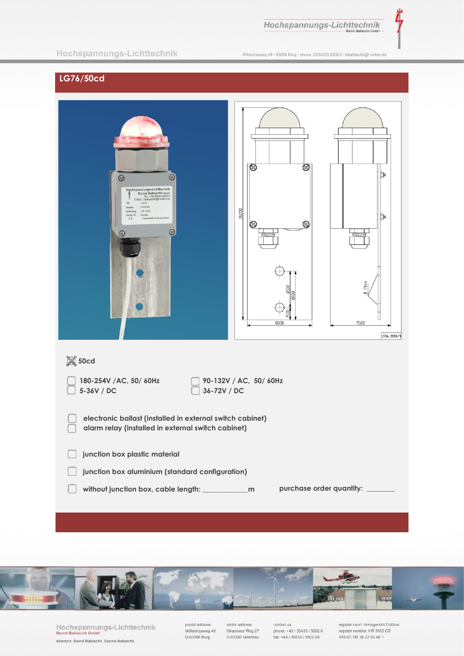Hochspannungs-Lichttechnik

Ì,

### Hochspannungs-Lichttechnik

Willischzaweg 48 · 03096 Burg · phone. (035433) 5502-0 · bballaschk@t-online.de

## LG76/50cd

| $\bigcirc$<br>$\circledcirc$<br>Hochspannungs-Lichttechnik<br>Bernd Ballaschk GmbH<br>Tel.: +49 35433 5502-0<br>E-Mail : bballaschk@t-online.de<br>: LG76<br>Typ<br>: 01/2020<br>Baujahr<br>Spannung : AC 230V<br>Geräte Nr. : Muster<br>Hergestellt in Deutschland<br>$\zeta\in$<br>$\circledcirc$<br>$\circ$ | ▧<br>⊗<br>26200<br>0<br>$\circledS$<br>80.00 | Þ<br>Щ<br>$\frac{1}{2}$<br>Ø<br>75.00<br>LG76_2020/1 |  |
|----------------------------------------------------------------------------------------------------------------------------------------------------------------------------------------------------------------------------------------------------------------------------------------------------------------|----------------------------------------------|------------------------------------------------------|--|
| $\boxtimes$ 50cd                                                                                                                                                                                                                                                                                               |                                              |                                                      |  |
| 90-132V / AC, 50/ 60Hz<br>180-254V /AC, 50/ 60Hz<br>5-36V / DC<br>36-72V / DC                                                                                                                                                                                                                                  |                                              |                                                      |  |
| electronic ballast (installed in external switch cabinet)<br>alarm relay (installed in external switch cabinet)                                                                                                                                                                                                |                                              |                                                      |  |
| junction box plastic material                                                                                                                                                                                                                                                                                  |                                              |                                                      |  |
| junction box aluminium (standard configuration)                                                                                                                                                                                                                                                                |                                              |                                                      |  |
| purchase order quantity:                                                                                                                                                                                                                                                                                       |                                              |                                                      |  |



Hochspannungs-Lichttechnik<br>Bernd Ballaschk GmbH directors: Bernd Ballaschk, Sabine Ballaschk

postal address<br>Willischzaweg 48 D-03096 Burg

visitor address Stradower Weg 27 D-03226 Vetschau

contact us<br>phone: +49 / 35433 / 5502-0 fax: +49 / 35433 / 5502-29

register court: Amtsgericht Cottbus<br>register number: HR 8152 CB VAT-ID: DE 26 22 82 46 1